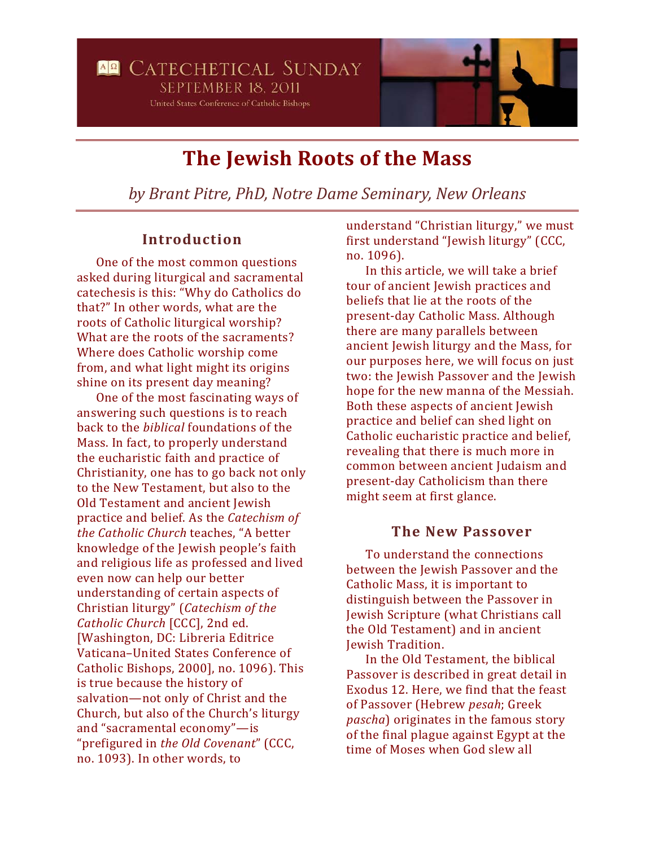

# **The Jewish Roots of the Mass**

*by Brant Pitre, PhD, Notre Dame Seminary, New Orleans*

## **Introduction**

One of the most common questions asked during liturgical and sacramental catechesis is this: "Why do Catholics do that?" In other words, what are the roots of Catholic liturgical worship? What are the roots of the sacraments? Where does Catholic worship come from, and what light might its origins shine on its present day meaning?

One of the most fascinating ways of answering such questions is to reach back to the *biblical* foundations of the Mass. In fact, to properly understand the eucharistic faith and practice of Christianity, one has to go back not only to the New Testament, but also to the Old Testament and ancient Jewish practice and belief. As the *Catechism of the Catholic Church* teaches, "A better knowledge of the Jewish people's faith and religious life as professed and lived even now can help our better understanding of certain aspects of Christian liturgy" (*Catechism of the Catholic Church* [CCC], 2nd ed. [Washington, DC: Libreria Editrice Vaticana–United States Conference of Catholic Bishops, 2000], no. 1096). This is true because the history of salvation—not only of Christ and the Church, but also of the Church's liturgy and "sacramental economy"—is "prefigured in *the Old Covenant*" (CCC, no. 1093). In other words, to

understand "Christian liturgy," we must first understand "Jewish liturgy" (CCC, no. 1096).

In this article, we will take a brief tour of ancient Jewish practices and beliefs that lie at the roots of the present-day Catholic Mass. Although there are many parallels between ancient Jewish liturgy and the Mass, for our purposes here, we will focus on just two: the Jewish Passover and the Jewish hope for the new manna of the Messiah. Both these aspects of ancient Jewish practice and belief can shed light on Catholic eucharistic practice and belief, revealing that there is much more in common between ancient Judaism and present-day Catholicism than there might seem at first glance.

#### **The New Passover**

To understand the connections between the Jewish Passover and the Catholic Mass, it is important to distinguish between the Passover in Jewish Scripture (what Christians call the Old Testament) and in ancient Jewish Tradition.

In the Old Testament, the biblical Passover is described in great detail in Exodus 12. Here, we find that the feast of Passover (Hebrew *pesah*; Greek *pascha*) originates in the famous story of the final plague against Egypt at the time of Moses when God slew all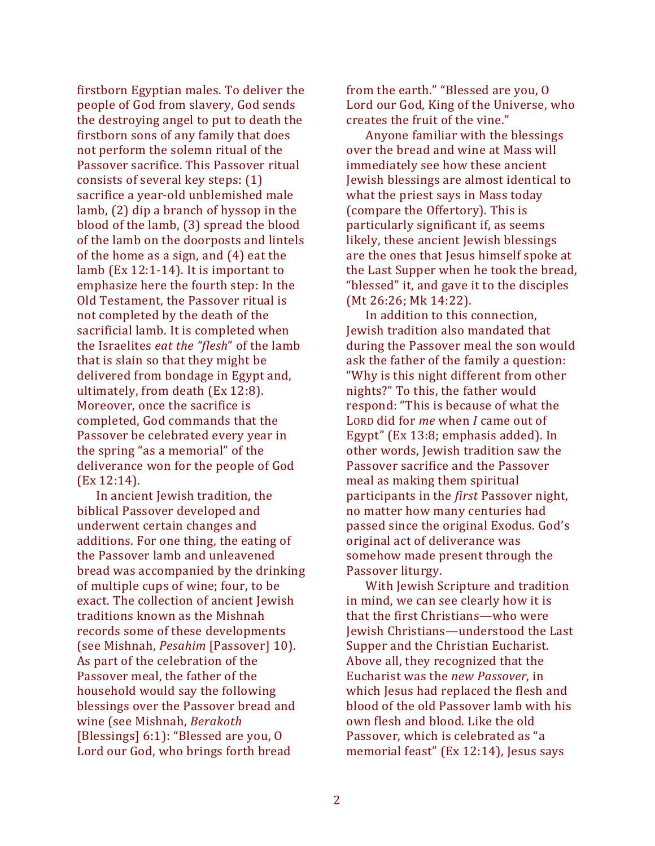firstborn Egyptian males. To deliver the people of God from slavery, God sends the destroying angel to put to death the firstborn sons of any family that does not perform the solemn ritual of the Passover sacrifice. This Passover ritual consists of several key steps: (1) sacrifice a year-old unblemished male lamb, (2) dip a branch of hyssop in the blood of the lamb, (3) spread the blood of the lamb on the doorposts and lintels of the home as a sign, and (4) eat the lamb (Ex 12:1-14). It is important to emphasize here the fourth step: In the Old Testament, the Passover ritual is not completed by the death of the sacrificial lamb. It is completed when the Israelites *eat the "flesh*" of the lamb that is slain so that they might be delivered from bondage in Egypt and, ultimately, from death (Ex 12:8). Moreover, once the sacrifice is completed, God commands that the Passover be celebrated every year in the spring "as a memorial" of the deliverance won for the people of God (Ex 12:14).

In ancient Jewish tradition, the biblical Passover developed and underwent certain changes and additions. For one thing, the eating of the Passover lamb and unleavened bread was accompanied by the drinking of multiple cups of wine; four, to be exact. The collection of ancient Jewish traditions known as the Mishnah records some of these developments (see Mishnah, *Pesahim* [Passover] 10). As part of the celebration of the Passover meal, the father of the household would say the following blessings over the Passover bread and wine (see Mishnah, *Berakoth* [Blessings] 6:1): "Blessed are you, O Lord our God, who brings forth bread

from the earth." "Blessed are you, O Lord our God, King of the Universe, who creates the fruit of the vine."

Anyone familiar with the blessings over the bread and wine at Mass will immediately see how these ancient Jewish blessings are almost identical to what the priest says in Mass today (compare the Offertory). This is particularly significant if, as seems likely, these ancient Jewish blessings are the ones that Jesus himself spoke at the Last Supper when he took the bread, "blessed" it, and gave it to the disciples (Mt 26:26; Mk 14:22).

In addition to this connection, Jewish tradition also mandated that during the Passover meal the son would ask the father of the family a question: "Why is this night different from other nights?" To this, the father would respond: "This is because of what the LORD did for *me* when *I* came out of Egypt" (Ex 13:8; emphasis added). In other words, Jewish tradition saw the Passover sacrifice and the Passover meal as making them spiritual participants in the *first* Passover night, no matter how many centuries had passed since the original Exodus. God's original act of deliverance was somehow made present through the Passover liturgy.

With Jewish Scripture and tradition in mind, we can see clearly how it is that the first Christians—who were Jewish Christians—understood the Last Supper and the Christian Eucharist. Above all, they recognized that the Eucharist was the *new Passover*, in which Jesus had replaced the flesh and blood of the old Passover lamb with his own flesh and blood. Like the old Passover, which is celebrated as "a memorial feast" (Ex 12:14), Jesus says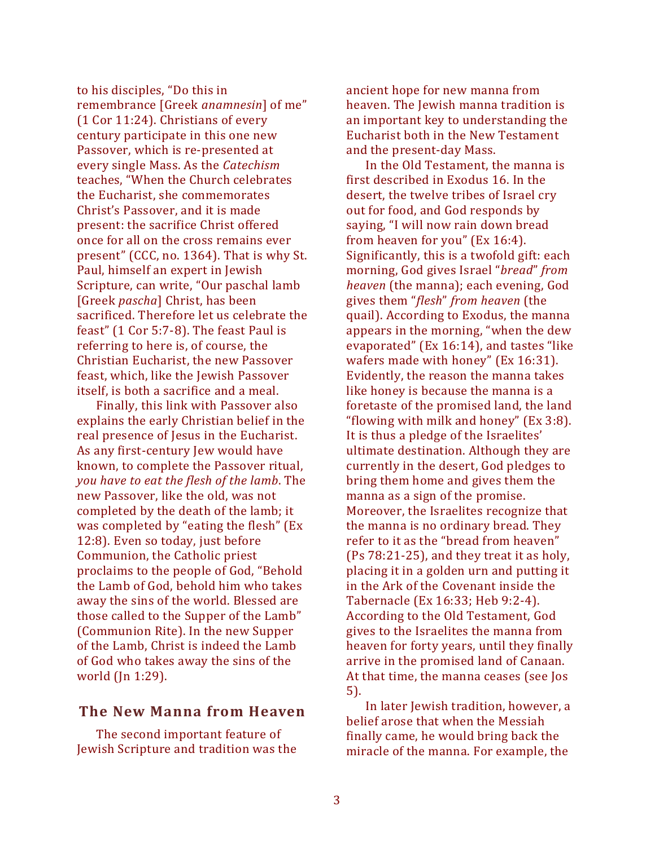to his disciples, "Do this in remembrance [Greek *anamnesin*] of me" (1 Cor 11:24). Christians of every century participate in this one new Passover, which is re-presented at every single Mass. As the *Catechism* teaches, "When the Church celebrates the Eucharist, she commemorates Christ's Passover, and it is made present: the sacrifice Christ offered once for all on the cross remains ever present" (CCC, no. 1364). That is why St. Paul, himself an expert in Jewish Scripture, can write, "Our paschal lamb [Greek *pascha*] Christ, has been sacrificed. Therefore let us celebrate the feast" (1 Cor 5:7-8). The feast Paul is referring to here is, of course, the Christian Eucharist, the new Passover feast, which, like the Jewish Passover itself, is both a sacrifice and a meal.

Finally, this link with Passover also explains the early Christian belief in the real presence of Jesus in the Eucharist. As any first-century Jew would have known, to complete the Passover ritual, *you have to eat the flesh of the lamb*. The new Passover, like the old, was not completed by the death of the lamb; it was completed by "eating the flesh" (Ex 12:8). Even so today, just before Communion, the Catholic priest proclaims to the people of God, "Behold the Lamb of God, behold him who takes away the sins of the world. Blessed are those called to the Supper of the Lamb" (Communion Rite). In the new Supper of the Lamb, Christ is indeed the Lamb of God who takes away the sins of the world (Jn 1:29).

#### **The New Manna from Heaven**

The second important feature of Jewish Scripture and tradition was the ancient hope for new manna from heaven. The Jewish manna tradition is an important key to understanding the Eucharist both in the New Testament and the present-day Mass.

In the Old Testament, the manna is first described in Exodus 16. In the desert, the twelve tribes of Israel cry out for food, and God responds by saying, "I will now rain down bread from heaven for you" (Ex 16:4). Significantly, this is a twofold gift: each morning, God gives Israel "*bread*" *from heaven* (the manna); each evening, God gives them "*flesh*" *from heaven* (the quail). According to Exodus, the manna appears in the morning, "when the dew evaporated" (Ex 16:14), and tastes "like wafers made with honey" (Ex 16:31). Evidently, the reason the manna takes like honey is because the manna is a foretaste of the promised land, the land "flowing with milk and honey" (Ex 3:8). It is thus a pledge of the Israelites' ultimate destination. Although they are currently in the desert, God pledges to bring them home and gives them the manna as a sign of the promise. Moreover, the Israelites recognize that the manna is no ordinary bread. They refer to it as the "bread from heaven" (Ps 78:21-25), and they treat it as holy, placing it in a golden urn and putting it in the Ark of the Covenant inside the Tabernacle (Ex 16:33; Heb 9:2-4). According to the Old Testament, God gives to the Israelites the manna from heaven for forty years, until they finally arrive in the promised land of Canaan. At that time, the manna ceases (see Jos 5).

In later Jewish tradition, however, a belief arose that when the Messiah finally came, he would bring back the miracle of the manna. For example, the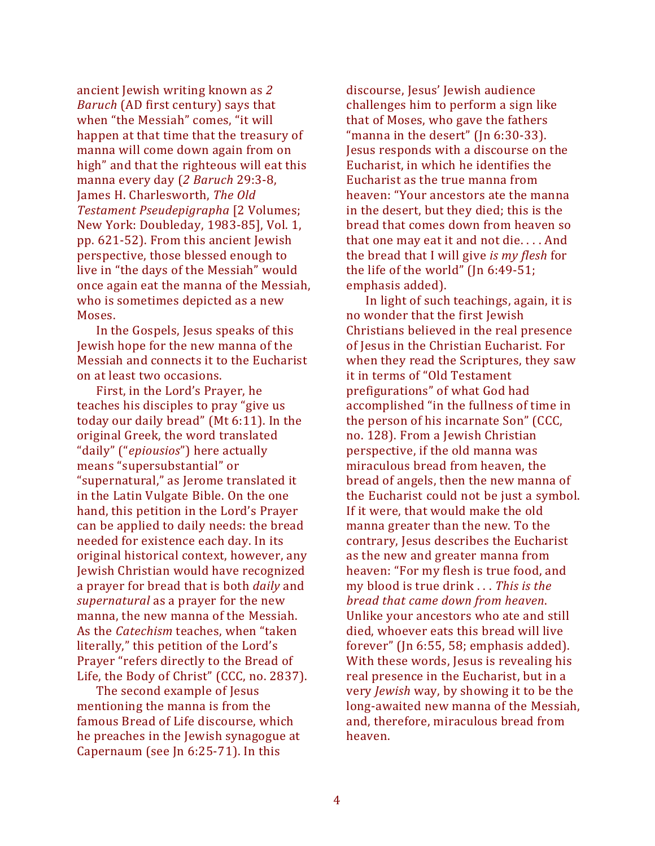ancient Jewish writing known as *2 Baruch* (AD first century) says that when "the Messiah" comes, "it will happen at that time that the treasury of manna will come down again from on high" and that the righteous will eat this manna every day (*2 Baruch* 29:3-8, James H. Charlesworth, *The Old Testament Pseudepigrapha* [2 Volumes; New York: Doubleday, 1983-85], Vol. 1, pp. 621-52). From this ancient Jewish perspective, those blessed enough to live in "the days of the Messiah" would once again eat the manna of the Messiah, who is sometimes depicted as a new Moses.

In the Gospels, Jesus speaks of this Jewish hope for the new manna of the Messiah and connects it to the Eucharist on at least two occasions.

First, in the Lord's Prayer, he teaches his disciples to pray "give us today our daily bread" (Mt 6:11). In the original Greek, the word translated "daily" ("*epiousios*") here actually means "supersubstantial" or "supernatural," as Jerome translated it in the Latin Vulgate Bible. On the one hand, this petition in the Lord's Prayer can be applied to daily needs: the bread needed for existence each day. In its original historical context, however, any Jewish Christian would have recognized a prayer for bread that is both *daily* and *supernatural* as a prayer for the new manna, the new manna of the Messiah. As the *Catechism* teaches, when "taken literally," this petition of the Lord's Prayer "refers directly to the Bread of Life, the Body of Christ" (CCC, no. 2837).

The second example of Jesus mentioning the manna is from the famous Bread of Life discourse, which he preaches in the Jewish synagogue at Capernaum (see Jn 6:25-71). In this

discourse, Jesus' Jewish audience challenges him to perform a sign like that of Moses, who gave the fathers "manna in the desert" (Jn 6:30-33). Jesus responds with a discourse on the Eucharist, in which he identifies the Eucharist as the true manna from heaven: "Your ancestors ate the manna in the desert, but they died; this is the bread that comes down from heaven so that one may eat it and not die. . . . And the bread that I will give *is my flesh* for the life of the world" (Jn 6:49-51; emphasis added).

In light of such teachings, again, it is no wonder that the first Jewish Christians believed in the real presence of Jesus in the Christian Eucharist. For when they read the Scriptures, they saw it in terms of "Old Testament prefigurations" of what God had accomplished "in the fullness of time in the person of his incarnate Son" (CCC, no. 128). From a Jewish Christian perspective, if the old manna was miraculous bread from heaven, the bread of angels, then the new manna of the Eucharist could not be just a symbol. If it were, that would make the old manna greater than the new. To the contrary, Jesus describes the Eucharist as the new and greater manna from heaven: "For my flesh is true food, and my blood is true drink . . . *This is the bread that came down from heaven*. Unlike your ancestors who ate and still died, whoever eats this bread will live forever" (Jn 6:55, 58; emphasis added). With these words, Jesus is revealing his real presence in the Eucharist, but in a very *Jewish* way, by showing it to be the long-awaited new manna of the Messiah, and, therefore, miraculous bread from heaven.